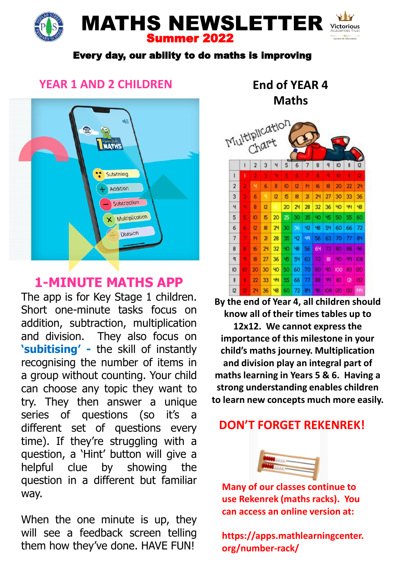# MATHS NEWSLETTER Summer 2022

#### Every day, our ability to do maths is improving

### **YEAR 1 AND 2 CHILDREN**



# **1-MINUTE MATHS APP**

The app is for Key Stage 1 children. Short one-minute tasks focus on addition, subtraction, multiplication and division. They also focus on **'subitising' -** the skill of instantly recognising the number of items in a group without counting. Your child can choose any topic they want to try. They then answer a unique series of questions (so it's a different set of questions every time). If they're struggling with a question, a 'Hint' button will give a helpful clue by showing the question in a different but familiar way.

When the one minute is up, they will see a feedback screen telling them how they've done. HAVE FUN!

**End of YEAR 4 Maths**



**By the end of Year 4, all children should know all of their times tables up to** 

**12x12. We cannot express the importance of this milestone in your child's maths journey. Multiplication and division play an integral part of maths learning in Years 5 & 6. Having a strong understanding enables children to learn new concepts much more easily.**

## **DON'T FORGET REKENREK!**



**Many of our classes continue to use Rekenrek (maths racks). You can access an online version at:**

**https://apps.mathlearningcenter. org/number-rack/**